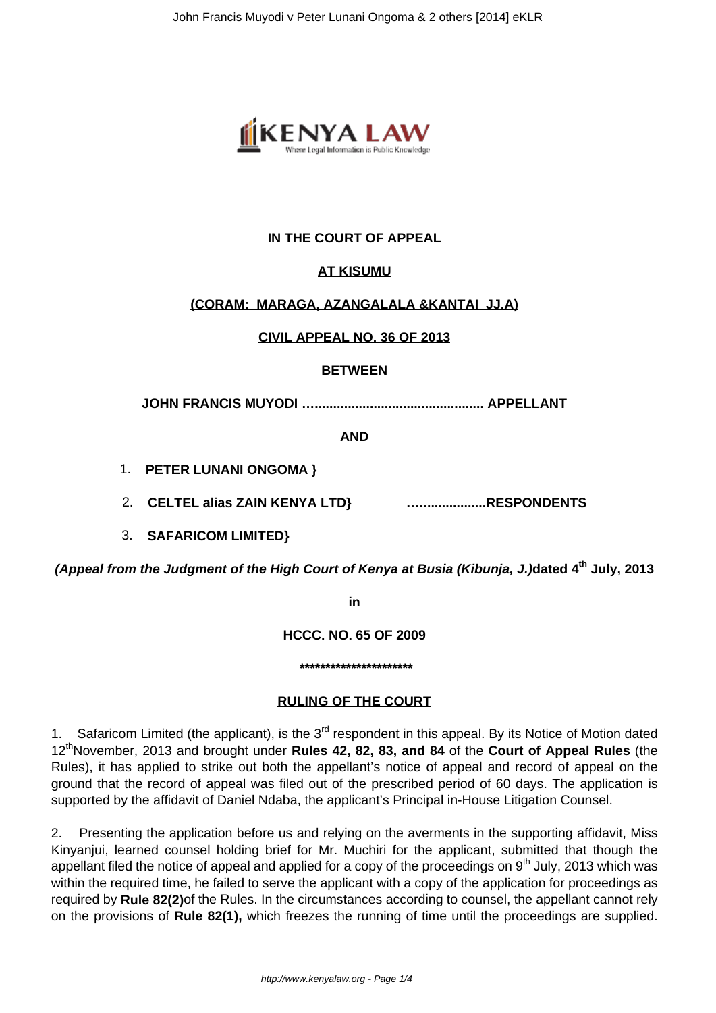

### **IN THE COURT OF APPEAL**

#### **AT KISUMU**

#### **(CORAM: MARAGA, AZANGALALA &KANTAI JJ.A)**

#### **CIVIL APPEAL NO. 36 OF 2013**

#### **BETWEEN**

**JOHN FRANCIS MUYODI ….............................................. APPELLANT**

**AND**

- 1. **PETER LUNANI ONGOMA }**
- 2. **CELTEL alias ZAIN KENYA LTD} .….................RESPONDENTS**
- 3. **SAFARICOM LIMITED}**

**(Appeal from the Judgment of the High Court of Kenya at Busia (Kibunja, J.)dated 4th July, 2013**

**in**

**HCCC. NO. 65 OF 2009**

**\*\*\*\*\*\*\*\*\*\*\*\*\*\*\*\*\*\*\*\*\*\***

#### **RULING OF THE COURT**

1. Safaricom Limited (the applicant), is the 3<sup>rd</sup> respondent in this appeal. By its Notice of Motion dated 12thNovember, 2013 and brought under **Rules 42, 82, 83, and 84** of the **Court of Appeal Rules** (the Rules), it has applied to strike out both the appellant's notice of appeal and record of appeal on the ground that the record of appeal was filed out of the prescribed period of 60 days. The application is supported by the affidavit of Daniel Ndaba, the applicant's Principal in-House Litigation Counsel.

2. Presenting the application before us and relying on the averments in the supporting affidavit, Miss Kinyanjui, learned counsel holding brief for Mr. Muchiri for the applicant, submitted that though the appellant filed the notice of appeal and applied for a copy of the proceedings on  $9<sup>th</sup>$  July, 2013 which was within the required time, he failed to serve the applicant with a copy of the application for proceedings as required by **Rule 82(2)**of the Rules. In the circumstances according to counsel, the appellant cannot rely on the provisions of **Rule 82(1),** which freezes the running of time until the proceedings are supplied.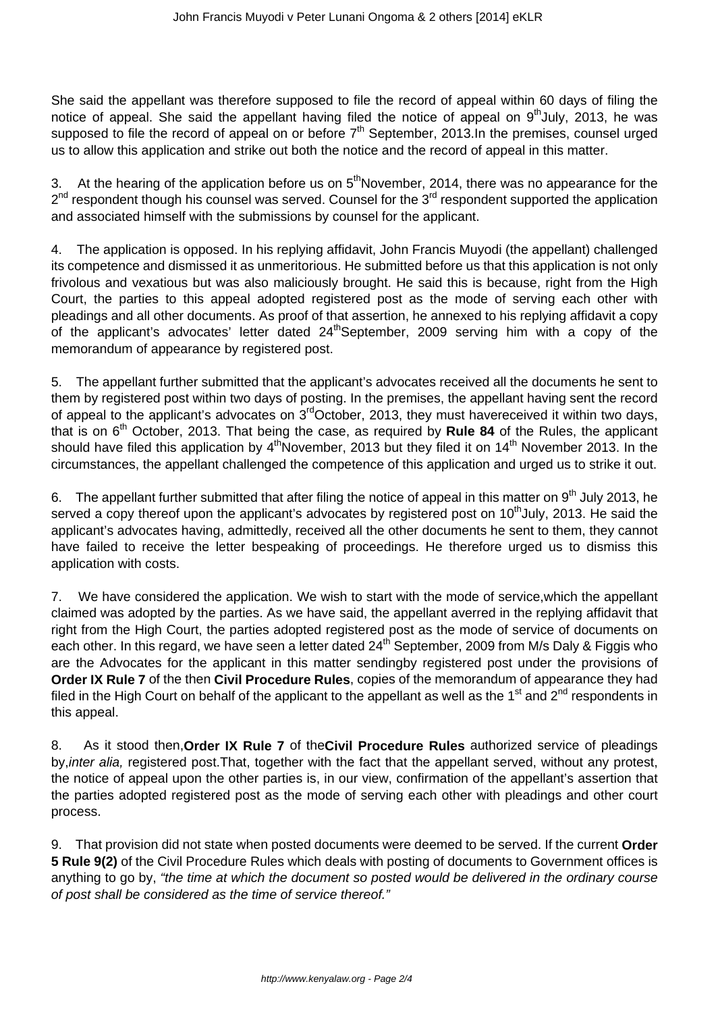She said the appellant was therefore supposed to file the record of appeal within 60 days of filing the notice of appeal. She said the appellant having filed the notice of appeal on  $9<sup>th</sup>$ July, 2013, he was supposed to file the record of appeal on or before  $7<sup>th</sup>$  September, 2013.In the premises, counsel urged us to allow this application and strike out both the notice and the record of appeal in this matter.

3. At the hearing of the application before us on  $5<sup>th</sup>$ November, 2014, there was no appearance for the 2<sup>nd</sup> respondent though his counsel was served. Counsel for the 3<sup>rd</sup> respondent supported the application and associated himself with the submissions by counsel for the applicant.

4. The application is opposed. In his replying affidavit, John Francis Muyodi (the appellant) challenged its competence and dismissed it as unmeritorious. He submitted before us that this application is not only frivolous and vexatious but was also maliciously brought. He said this is because, right from the High Court, the parties to this appeal adopted registered post as the mode of serving each other with pleadings and all other documents. As proof of that assertion, he annexed to his replying affidavit a copy of the applicant's advocates' letter dated  $24<sup>th</sup>$ September, 2009 serving him with a copy of the memorandum of appearance by registered post.

5. The appellant further submitted that the applicant's advocates received all the documents he sent to them by registered post within two days of posting. In the premises, the appellant having sent the record of appeal to the applicant's advocates on  $3<sup>rd</sup>$ October, 2013, they must havereceived it within two days, that is on 6<sup>th</sup> October, 2013. That being the case, as required by **Rule 84** of the Rules, the applicant should have filed this application by  $4<sup>th</sup>November$ , 2013 but they filed it on  $14<sup>th</sup>$  November 2013. In the circumstances, the appellant challenged the competence of this application and urged us to strike it out.

6. The appellant further submitted that after filing the notice of appeal in this matter on  $9<sup>th</sup>$  July 2013, he served a copy thereof upon the applicant's advocates by registered post on  $10<sup>th</sup>$ July, 2013. He said the applicant's advocates having, admittedly, received all the other documents he sent to them, they cannot have failed to receive the letter bespeaking of proceedings. He therefore urged us to dismiss this application with costs.

7. We have considered the application. We wish to start with the mode of service,which the appellant claimed was adopted by the parties. As we have said, the appellant averred in the replying affidavit that right from the High Court, the parties adopted registered post as the mode of service of documents on each other. In this regard, we have seen a letter dated 24<sup>th</sup> September, 2009 from M/s Daly & Figgis who are the Advocates for the applicant in this matter sendingby registered post under the provisions of **Order IX Rule 7** of the then **Civil Procedure Rules**, copies of the memorandum of appearance they had filed in the High Court on behalf of the applicant to the appellant as well as the 1<sup>st</sup> and 2<sup>nd</sup> respondents in this appeal.

8. As it stood then,**Order IX Rule 7** of the**Civil Procedure Rules** authorized service of pleadings by,inter alia, registered post.That, together with the fact that the appellant served, without any protest, the notice of appeal upon the other parties is, in our view, confirmation of the appellant's assertion that the parties adopted registered post as the mode of serving each other with pleadings and other court process.

9. That provision did not state when posted documents were deemed to be served. If the current **Order 5 Rule 9(2)** of the Civil Procedure Rules which deals with posting of documents to Government offices is anything to go by, "the time at which the document so posted would be delivered in the ordinary course of post shall be considered as the time of service thereof."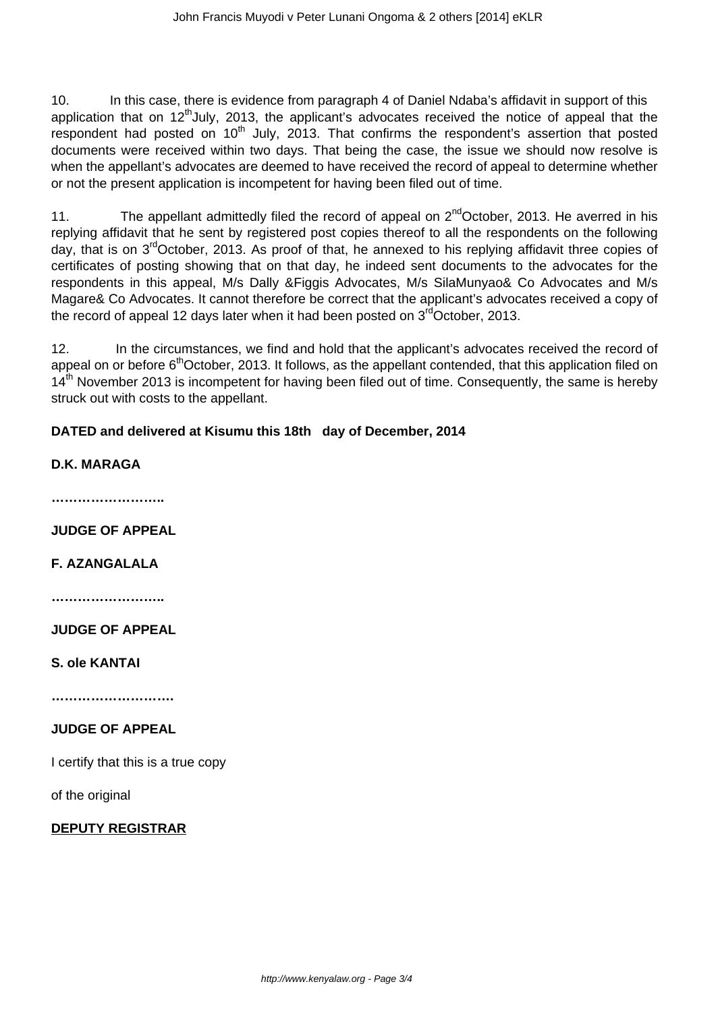10. In this case, there is evidence from paragraph 4 of Daniel Ndaba's affidavit in support of this application that on 12<sup>th</sup>July, 2013, the applicant's advocates received the notice of appeal that the respondent had posted on 10<sup>th</sup> July, 2013. That confirms the respondent's assertion that posted documents were received within two days. That being the case, the issue we should now resolve is when the appellant's advocates are deemed to have received the record of appeal to determine whether or not the present application is incompetent for having been filed out of time.

11. The appellant admittedly filed the record of appeal on  $2^{nd}$ October, 2013. He averred in his replying affidavit that he sent by registered post copies thereof to all the respondents on the following day, that is on 3rdOctober, 2013. As proof of that, he annexed to his replying affidavit three copies of certificates of posting showing that on that day, he indeed sent documents to the advocates for the respondents in this appeal, M/s Dally &Figgis Advocates, M/s SilaMunyao& Co Advocates and M/s Magare& Co Advocates. It cannot therefore be correct that the applicant's advocates received a copy of the record of appeal 12 days later when it had been posted on  $3<sup>rd</sup>October$ , 2013.

12. In the circumstances, we find and hold that the applicant's advocates received the record of appeal on or before 6<sup>th</sup>October, 2013. It follows, as the appellant contended, that this application filed on 14<sup>th</sup> November 2013 is incompetent for having been filed out of time. Consequently, the same is hereby struck out with costs to the appellant.

# **DATED and delivered at Kisumu this 18th day of December, 2014**

## **D.K. MARAGA**

**……………………..**

**JUDGE OF APPEAL**

**F. AZANGALALA**

**……………………..**

**JUDGE OF APPEAL**

**S. ole KANTAI**

**……………………….**

## **JUDGE OF APPEAL**

I certify that this is a true copy

of the original

#### **DEPUTY REGISTRAR**